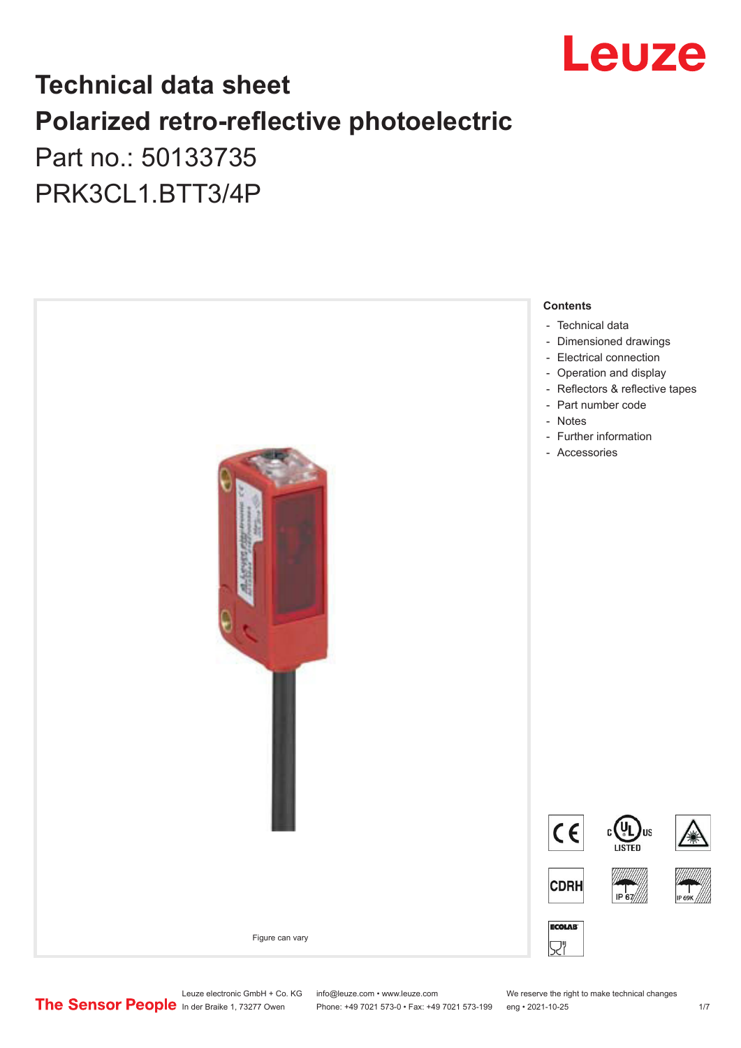

## **Technical data sheet Polarized retro-reflective photoelectric**  Part no.: 50133735

PRK3CL1.BTT3/4P



Leuze electronic GmbH + Co. KG info@leuze.com • www.leuze.com We reserve the right to make technical changes<br>
The Sensor People in der Braike 1, 73277 Owen Phone: +49 7021 573-0 • Fax: +49 7021 573-199 eng • 2021-10-25

Phone: +49 7021 573-0 • Fax: +49 7021 573-199 eng • 2021-10-25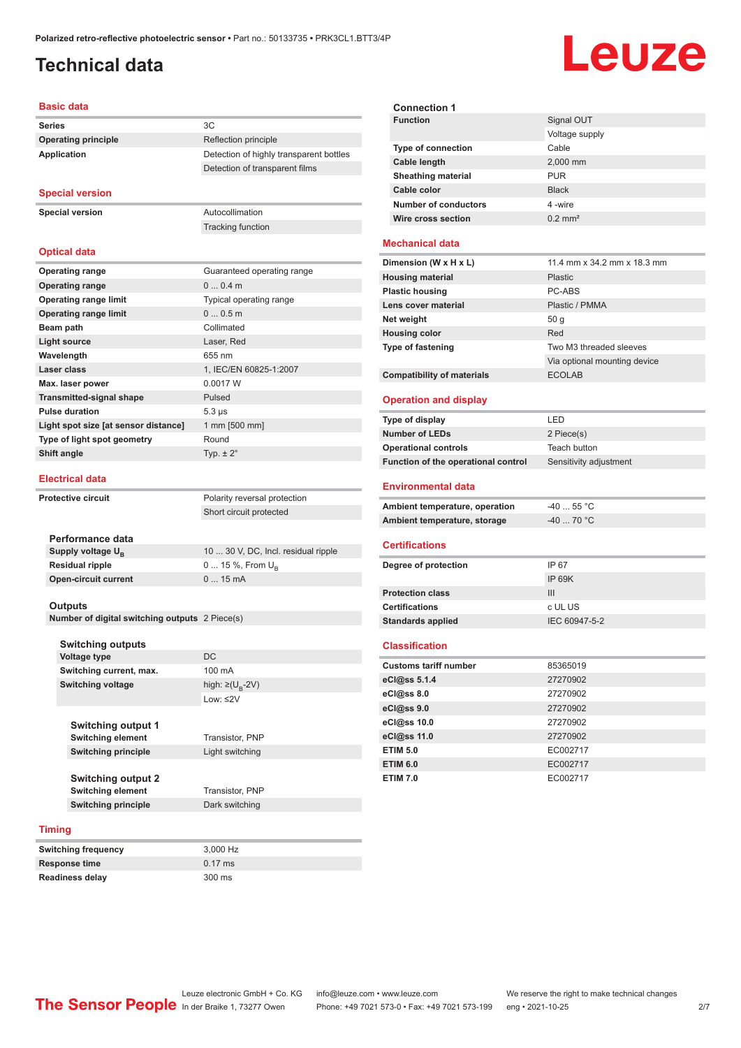## <span id="page-1-0"></span>**Technical data**

# Leuze

#### **Basic data**

| <b>Series</b>              | 3C                                      |
|----------------------------|-----------------------------------------|
| <b>Operating principle</b> | Reflection principle                    |
| Application                | Detection of highly transparent bottles |
|                            | Detection of transparent films          |

#### **Special version**

**Special version** Autocollimation

**Optical data**

Tracking function

| <b>Operating range</b>               | Guaranteed operating range |
|--------------------------------------|----------------------------|
| <b>Operating range</b>               | $00.4$ m                   |
| <b>Operating range limit</b>         | Typical operating range    |
| <b>Operating range limit</b>         | 00.5m                      |
| Beam path                            | Collimated                 |
| <b>Light source</b>                  | Laser, Red                 |
| Wavelength                           | 655 nm                     |
| Laser class                          | 1, IEC/EN 60825-1:2007     |
| Max. laser power                     | 0.0017 W                   |
| <b>Transmitted-signal shape</b>      | Pulsed                     |
| <b>Pulse duration</b>                | $5.3 \,\mu s$              |
| Light spot size [at sensor distance] | 1 mm [500 mm]              |
| Type of light spot geometry          | Round                      |
| Shift angle                          | Typ. $\pm 2^{\circ}$       |
|                                      |                            |

#### **Electrical data**

**Protective circuit** Polarity reversal protection

| Performance data              |                                     |
|-------------------------------|-------------------------------------|
| Supply voltage U <sub>p</sub> | 10  30 V, DC, Incl. residual ripple |
| <b>Residual ripple</b>        | $0 15 \%$ , From $U_{p}$            |
| <b>Open-circuit current</b>   | $015$ mA                            |
|                               |                                     |

Short circuit protected

#### **Outputs**

**Number of digital switching outputs** 2 Piece(s)

|               | <b>Switching outputs</b>   |                                   |
|---------------|----------------------------|-----------------------------------|
|               | <b>Voltage type</b>        | DC                                |
|               | Switching current, max.    | 100 mA                            |
|               | <b>Switching voltage</b>   | high: $\geq$ (U <sub>R</sub> -2V) |
|               |                            | $1$ nw: $\leq$ 2V                 |
|               |                            |                                   |
|               | <b>Switching output 1</b>  |                                   |
|               | <b>Switching element</b>   | Transistor, PNP                   |
|               | <b>Switching principle</b> | Light switching                   |
|               |                            |                                   |
|               | <b>Switching output 2</b>  |                                   |
|               | <b>Switching element</b>   | Transistor, PNP                   |
|               | <b>Switching principle</b> | Dark switching                    |
|               |                            |                                   |
| <b>Timing</b> |                            |                                   |

| <b>Switching frequency</b> | 3.000 Hz          |
|----------------------------|-------------------|
| Response time              | $0.17 \text{ ms}$ |
| <b>Readiness delay</b>     | $300 \text{ ms}$  |

| <b>Connection 1</b>       |                       |
|---------------------------|-----------------------|
| <b>Function</b>           | Signal OUT            |
|                           | Voltage supply        |
| <b>Type of connection</b> | Cable                 |
| Cable length              | 2,000 mm              |
| <b>Sheathing material</b> | <b>PUR</b>            |
| Cable color               | <b>Black</b>          |
| Number of conductors      | 4-wire                |
| Wire cross section        | $0.2$ mm <sup>2</sup> |
|                           |                       |

#### **Mechanical data**

| Dimension (W x H x L)             | 11.4 mm x 34.2 mm x 18.3 mm  |
|-----------------------------------|------------------------------|
| <b>Housing material</b>           | <b>Plastic</b>               |
| <b>Plastic housing</b>            | PC-ABS                       |
| Lens cover material               | Plastic / PMMA               |
| Net weight                        | 50q                          |
| <b>Housing color</b>              | Red                          |
| Type of fastening                 | Two M3 threaded sleeves      |
|                                   | Via optional mounting device |
| <b>Compatibility of materials</b> | <b>ECOLAB</b>                |

#### **Operation and display**

| Type of display                     | I FD                   |
|-------------------------------------|------------------------|
| <b>Number of LEDs</b>               | 2 Piece(s)             |
| <b>Operational controls</b>         | Teach button           |
| Function of the operational control | Sensitivity adjustment |
|                                     |                        |

#### **Environmental data**

| Ambient temperature, operation | -40  55 °C |
|--------------------------------|------------|
| Ambient temperature, storage   | -40  70 °C |

#### **Certifications**

| Degree of protection     | IP 67         |
|--------------------------|---------------|
|                          | IP 69K        |
| <b>Protection class</b>  | Ш             |
| <b>Certifications</b>    | c UL US       |
| <b>Standards applied</b> | IEC 60947-5-2 |
|                          |               |

#### **Classification**

| <b>Customs tariff number</b> | 85365019 |
|------------------------------|----------|
| eCl@ss 5.1.4                 | 27270902 |
| eCl@ss 8.0                   | 27270902 |
| eCl@ss 9.0                   | 27270902 |
| eCl@ss 10.0                  | 27270902 |
| eCl@ss 11.0                  | 27270902 |
| <b>ETIM 5.0</b>              | EC002717 |
| <b>ETIM 6.0</b>              | EC002717 |
| <b>ETIM 7.0</b>              | EC002717 |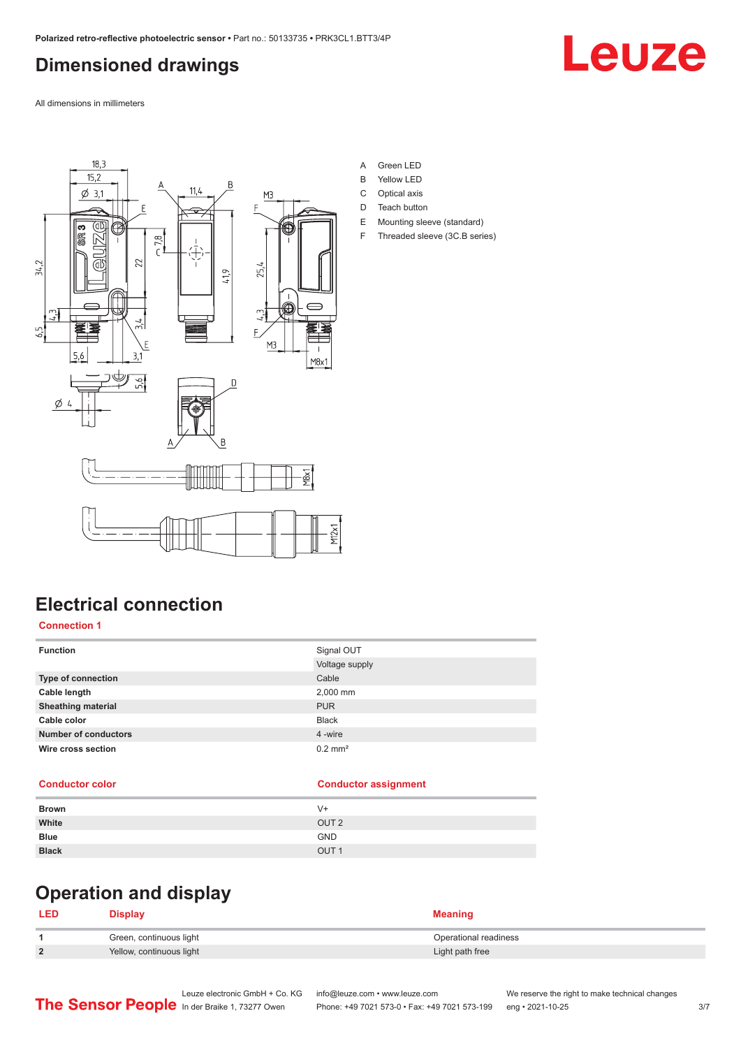## <span id="page-2-0"></span>**Dimensioned drawings**

Leuze

All dimensions in millimeters



- A Green LED
- B Yellow LED
- C Optical axis
- D Teach button
- E Mounting sleeve (standard)
- F Threaded sleeve (3C.B series)

## **Electrical connection**

#### **Connection 1**

| <b>Function</b>             | Signal OUT            |
|-----------------------------|-----------------------|
|                             | Voltage supply        |
| <b>Type of connection</b>   | Cable                 |
| Cable length                | 2,000 mm              |
| <b>Sheathing material</b>   | <b>PUR</b>            |
| Cable color                 | <b>Black</b>          |
| <b>Number of conductors</b> | 4 -wire               |
| Wire cross section          | $0.2$ mm <sup>2</sup> |
|                             |                       |

#### **Conductor color Conductor assignment**

| <b>Brown</b> | $V +$            |
|--------------|------------------|
| White        | OUT <sub>2</sub> |
| <b>Blue</b>  | <b>GND</b>       |
| <b>Black</b> | OUT <sub>1</sub> |

## **Operation and display**

### **LED Display Meaning 1** Green, continuous light **Continuous Continuous Continuous Continuous Continuous Continuous Continuous Continuous Continuous Continuous Continuous Continuous Continuous Continuous Continuous Continuous Continuous Contin 2** Yellow, continuous light **Victor** Continuous **Continuous** light **Light path free**

Leuze electronic GmbH + Co. KG info@leuze.com • www.leuze.com We reserve the right to make technical changes<br>
The Sensor People in der Braike 1, 73277 Owen Phone: +49 7021 573-0 • Fax: +49 7021 573-199 eng • 2021-10-25 Phone: +49 7021 573-0 • Fax: +49 7021 573-199 eng • 2021-10-25 3/7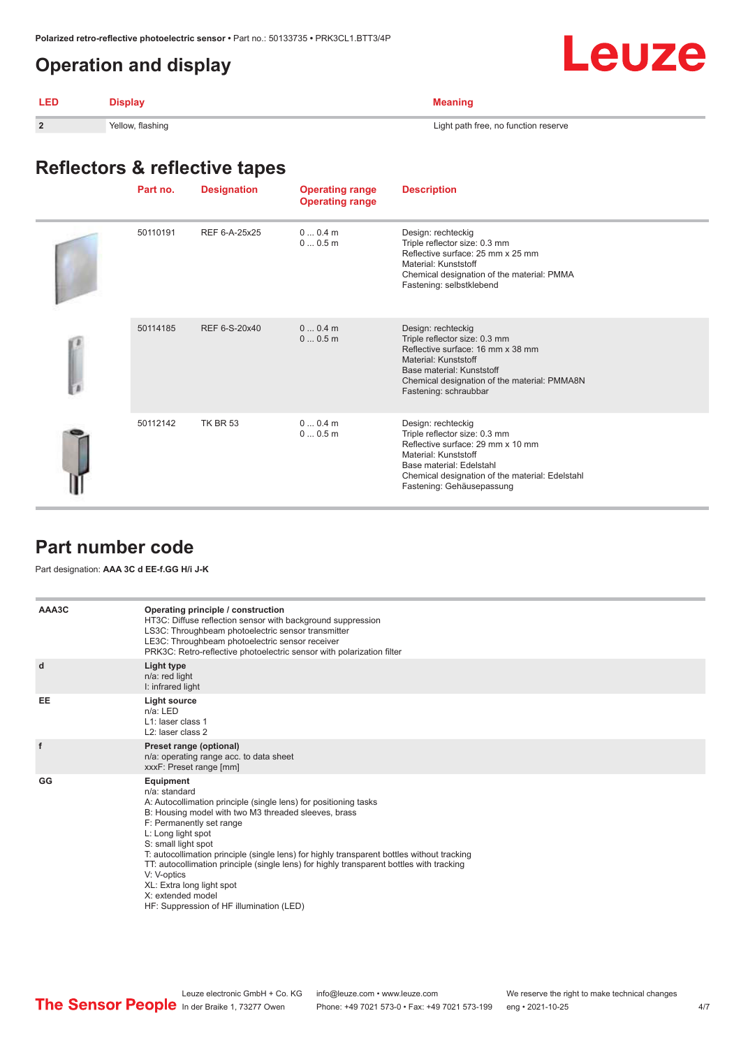## <span id="page-3-0"></span>**Operation and display**

|--|--|

| LED            | lisnlav          |                                      |
|----------------|------------------|--------------------------------------|
| $\overline{2}$ | Yellow, flashing | Light path free, no function reserve |

## **Reflectors & reflective tapes**

| Part no. | <b>Designation</b> | <b>Operating range</b><br><b>Operating range</b> | <b>Description</b>                                                                                                                                                                                                           |
|----------|--------------------|--------------------------------------------------|------------------------------------------------------------------------------------------------------------------------------------------------------------------------------------------------------------------------------|
| 50110191 | REF 6-A-25x25      | 00.4m<br>00.5m                                   | Design: rechteckig<br>Triple reflector size: 0.3 mm<br>Reflective surface: 25 mm x 25 mm<br>Material: Kunststoff<br>Chemical designation of the material: PMMA<br>Fastening: selbstklebend                                   |
| 50114185 | REF 6-S-20x40      | $00.4$ m<br>00.5m                                | Design: rechteckig<br>Triple reflector size: 0.3 mm<br>Reflective surface: 16 mm x 38 mm<br>Material: Kunststoff<br>Base material: Kunststoff<br>Chemical designation of the material: PMMA8N<br>Fastening: schraubbar       |
| 50112142 | <b>TK BR 53</b>    | $00.4$ m<br>00.5m                                | Design: rechteckig<br>Triple reflector size: 0.3 mm<br>Reflective surface: 29 mm x 10 mm<br>Material: Kunststoff<br>Base material: Edelstahl<br>Chemical designation of the material: Edelstahl<br>Fastening: Gehäusepassung |

## **Part number code**

Part designation: **AAA 3C d EE-f.GG H/i J-K**

| AAA3C | Operating principle / construction<br>HT3C: Diffuse reflection sensor with background suppression<br>LS3C: Throughbeam photoelectric sensor transmitter<br>LE3C: Throughbeam photoelectric sensor receiver<br>PRK3C: Retro-reflective photoelectric sensor with polarization filter                                                                                                                                                                                                                                                              |
|-------|--------------------------------------------------------------------------------------------------------------------------------------------------------------------------------------------------------------------------------------------------------------------------------------------------------------------------------------------------------------------------------------------------------------------------------------------------------------------------------------------------------------------------------------------------|
| d     | Light type<br>n/a: red light<br>I: infrared light                                                                                                                                                                                                                                                                                                                                                                                                                                                                                                |
| EE    | Light source<br>$n/a$ : LED<br>L1: laser class 1<br>L <sub>2</sub> : laser class 2                                                                                                                                                                                                                                                                                                                                                                                                                                                               |
| f     | Preset range (optional)<br>n/a: operating range acc. to data sheet<br>xxxF: Preset range [mm]                                                                                                                                                                                                                                                                                                                                                                                                                                                    |
| GG    | <b>Equipment</b><br>$n/a$ : standard<br>A: Autocollimation principle (single lens) for positioning tasks<br>B: Housing model with two M3 threaded sleeves, brass<br>F: Permanently set range<br>L: Long light spot<br>S: small light spot<br>T: autocollimation principle (single lens) for highly transparent bottles without tracking<br>TT: autocollimation principle (single lens) for highly transparent bottles with tracking<br>V: V-optics<br>XL: Extra long light spot<br>X: extended model<br>HF: Suppression of HF illumination (LED) |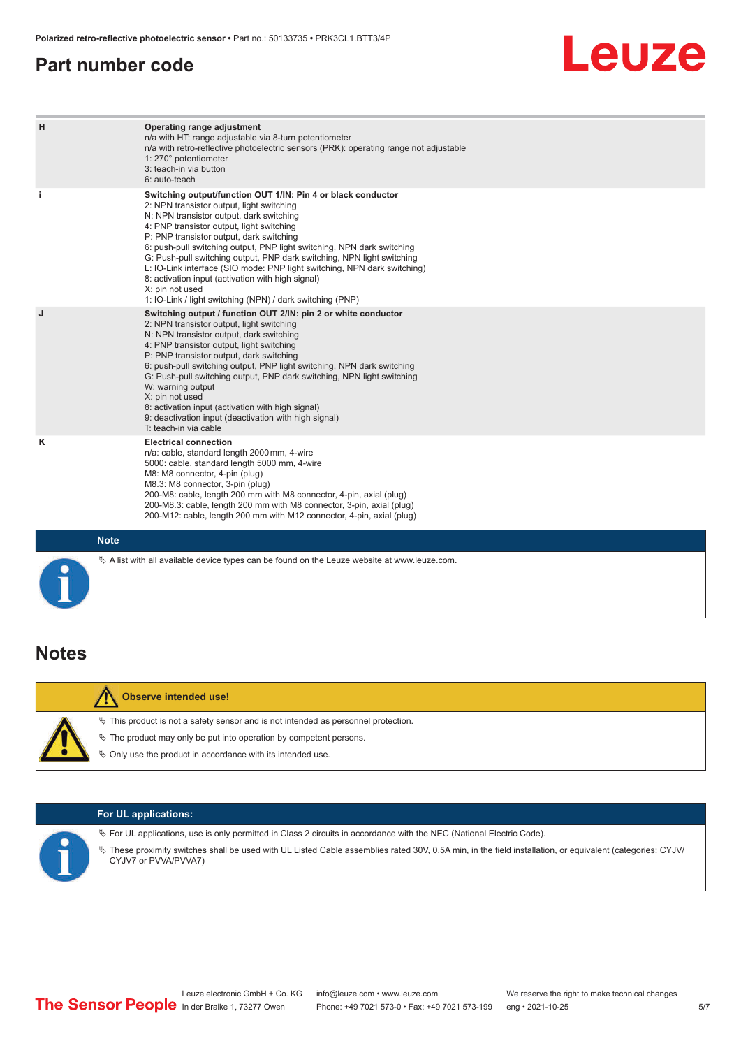## <span id="page-4-0"></span>**Part number code**

## **Leuze**

| H           | Operating range adjustment<br>n/a with HT: range adjustable via 8-turn potentiometer<br>n/a with retro-reflective photoelectric sensors (PRK): operating range not adjustable<br>1: 270° potentiometer<br>3: teach-in via button<br>6: auto-teach                                                                                                                                                                                                                                                                                                                                                                   |
|-------------|---------------------------------------------------------------------------------------------------------------------------------------------------------------------------------------------------------------------------------------------------------------------------------------------------------------------------------------------------------------------------------------------------------------------------------------------------------------------------------------------------------------------------------------------------------------------------------------------------------------------|
| j.          | Switching output/function OUT 1/IN: Pin 4 or black conductor<br>2: NPN transistor output, light switching<br>N: NPN transistor output, dark switching<br>4: PNP transistor output, light switching<br>P: PNP transistor output, dark switching<br>6: push-pull switching output, PNP light switching, NPN dark switching<br>G: Push-pull switching output, PNP dark switching, NPN light switching<br>L: IO-Link interface (SIO mode: PNP light switching, NPN dark switching)<br>8: activation input (activation with high signal)<br>X: pin not used<br>1: IO-Link / light switching (NPN) / dark switching (PNP) |
| J           | Switching output / function OUT 2/IN: pin 2 or white conductor<br>2: NPN transistor output, light switching<br>N: NPN transistor output, dark switching<br>4: PNP transistor output, light switching<br>P: PNP transistor output, dark switching<br>6: push-pull switching output, PNP light switching, NPN dark switching<br>G: Push-pull switching output, PNP dark switching, NPN light switching<br>W: warning output<br>X: pin not used<br>8: activation input (activation with high signal)<br>9: deactivation input (deactivation with high signal)<br>T: teach-in via cable                                 |
| Κ           | <b>Electrical connection</b><br>n/a: cable, standard length 2000 mm, 4-wire<br>5000: cable, standard length 5000 mm, 4-wire<br>M8: M8 connector, 4-pin (plug)<br>M8.3: M8 connector, 3-pin (plug)<br>200-M8: cable, length 200 mm with M8 connector, 4-pin, axial (plug)<br>200-M8.3: cable, length 200 mm with M8 connector, 3-pin, axial (plug)<br>200-M12: cable, length 200 mm with M12 connector, 4-pin, axial (plug)                                                                                                                                                                                          |
| <b>Note</b> |                                                                                                                                                                                                                                                                                                                                                                                                                                                                                                                                                                                                                     |

## **Notes**

| <b>Observe intended use!</b>                                                                                                                                                                                                     |
|----------------------------------------------------------------------------------------------------------------------------------------------------------------------------------------------------------------------------------|
| $\%$ This product is not a safety sensor and is not intended as personnel protection.<br>$\&$ The product may only be put into operation by competent persons.<br>$\&$ Only use the product in accordance with its intended use. |

 $\%$  A list with all available device types can be found on the Leuze website at www.leuze.com.

| <b>For UL applications:</b>                                                                                                                                                                                                                                                                                   |
|---------------------------------------------------------------------------------------------------------------------------------------------------------------------------------------------------------------------------------------------------------------------------------------------------------------|
| $\%$ For UL applications, use is only permitted in Class 2 circuits in accordance with the NEC (National Electric Code).<br>V These proximity switches shall be used with UL Listed Cable assemblies rated 30V, 0.5A min, in the field installation, or equivalent (categories: CYJV/<br>CYJV7 or PVVA/PVVA7) |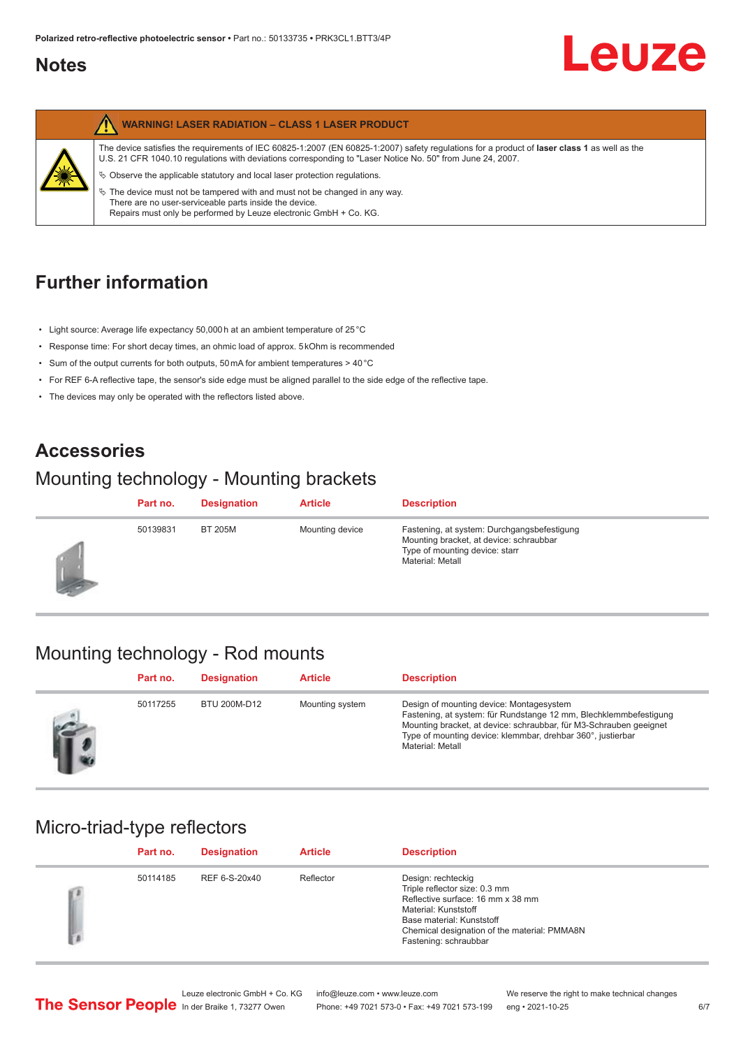## <span id="page-5-0"></span>**Notes**



## **Further information**

- Light source: Average life expectancy 50,000 h at an ambient temperature of 25 °C
- Response time: For short decay times, an ohmic load of approx. 5 kOhm is recommended
- Sum of the output currents for both outputs, 50 mA for ambient temperatures > 40 °C
- For REF 6-A reflective tape, the sensor's side edge must be aligned parallel to the side edge of the reflective tape.
- The devices may only be operated with the reflectors listed above.

## **Accessories**

## Mounting technology - Mounting brackets

|            | Part no. | <b>Designation</b> | <b>Article</b>  | <b>Description</b>                                                                                                                           |
|------------|----------|--------------------|-----------------|----------------------------------------------------------------------------------------------------------------------------------------------|
| <b>SEP</b> | 50139831 | <b>BT 205M</b>     | Mounting device | Fastening, at system: Durchgangsbefestigung<br>Mounting bracket, at device: schraubbar<br>Type of mounting device: starr<br>Material: Metall |

## Mounting technology - Rod mounts

| Part no. | <b>Designation</b> | <b>Article</b>  | <b>Description</b>                                                                                                                                                                                                                                                     |
|----------|--------------------|-----------------|------------------------------------------------------------------------------------------------------------------------------------------------------------------------------------------------------------------------------------------------------------------------|
| 50117255 | BTU 200M-D12       | Mounting system | Design of mounting device: Montagesystem<br>Fastening, at system: für Rundstange 12 mm, Blechklemmbefestigung<br>Mounting bracket, at device: schraubbar, für M3-Schrauben geeignet<br>Type of mounting device: klemmbar, drehbar 360°, justierbar<br>Material: Metall |

### Micro-triad-type reflectors

| Part no. | <b>Designation</b> | <b>Article</b> | <b>Description</b>                                                                                                                                                                                                     |
|----------|--------------------|----------------|------------------------------------------------------------------------------------------------------------------------------------------------------------------------------------------------------------------------|
| 50114185 | REF 6-S-20x40      | Reflector      | Design: rechteckig<br>Triple reflector size: 0.3 mm<br>Reflective surface: 16 mm x 38 mm<br>Material: Kunststoff<br>Base material: Kunststoff<br>Chemical designation of the material: PMMA8N<br>Fastening: schraubbar |

Phone: +49 7021 573-0 • Fax: +49 7021 573-199 eng • 2021-10-25 6/7

Leuze electronic GmbH + Co. KG info@leuze.com • www.leuze.com We reserve the right to make technical changes<br>
The Sensor People in der Braike 1, 73277 Owen Phone: +49 7021 573-0 • Fax: +49 7021 573-199 eng • 2021-10-25

Leuze